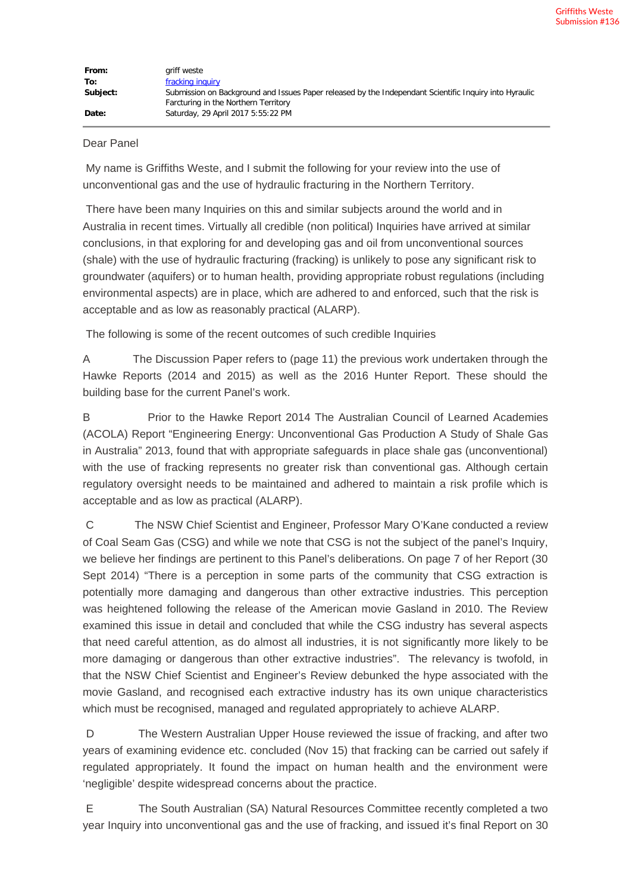## Dear Panel

My name is Griffiths Weste, and I submit the following for your review into the use of unconventional gas and the use of hydraulic fracturing in the Northern Territory.

There have been many Inquiries on this and similar subjects around the world and in Australia in recent times. Virtually all credible (non political) Inquiries have arrived at similar conclusions, in that exploring for and developing gas and oil from unconventional sources (shale) with the use of hydraulic fracturing (fracking) is unlikely to pose any significant risk to groundwater (aquifers) or to human health, providing appropriate robust regulations (including environmental aspects) are in place, which are adhered to and enforced, such that the risk is acceptable and as low as reasonably practical (ALARP).

The following is some of the recent outcomes of such credible Inquiries

A The Discussion Paper refers to (page 11) the previous work undertaken through the Hawke Reports (2014 and 2015) as well as the 2016 Hunter Report. These should the building base for the current Panel's work.

B Prior to the Hawke Report 2014 The Australian Council of Learned Academies (ACOLA) Report "Engineering Energy: Unconventional Gas Production A Study of Shale Gas in Australia" 2013, found that with appropriate safeguards in place shale gas (unconventional) with the use of fracking represents no greater risk than conventional gas. Although certain regulatory oversight needs to be maintained and adhered to maintain a risk profile which is acceptable and as low as practical (ALARP).

C The NSW Chief Scientist and Engineer, Professor Mary O'Kane conducted a review of Coal Seam Gas (CSG) and while we note that CSG is not the subject of the panel's Inquiry, we believe her findings are pertinent to this Panel's deliberations. On page 7 of her Report (30 Sept 2014) "There is a perception in some parts of the community that CSG extraction is potentially more damaging and dangerous than other extractive industries. This perception was heightened following the release of the American movie Gasland in 2010. The Review examined this issue in detail and concluded that while the CSG industry has several aspects that need careful attention, as do almost all industries, it is not significantly more likely to be more damaging or dangerous than other extractive industries". The relevancy is twofold, in that the NSW Chief Scientist and Engineer's Review debunked the hype associated with the movie Gasland, and recognised each extractive industry has its own unique characteristics which must be recognised, managed and regulated appropriately to achieve ALARP.

D The Western Australian Upper House reviewed the issue of fracking, and after two years of examining evidence etc. concluded (Nov 15) that fracking can be carried out safely if regulated appropriately. It found the impact on human health and the environment were 'negligible' despite widespread concerns about the practice.

E The South Australian (SA) Natural Resources Committee recently completed a two year Inquiry into unconventional gas and the use of fracking, and issued it's final Report on 30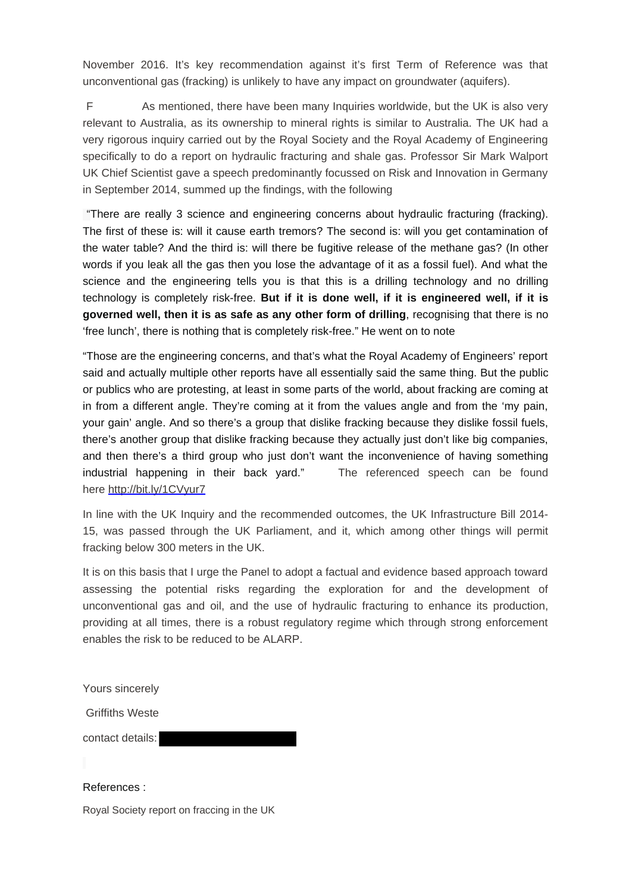November 2016. It's key recommendation against it's first Term of Reference was that unconventional gas (fracking) is unlikely to have any impact on groundwater (aquifers).

F As mentioned, there have been many Inquiries worldwide, but the UK is also very relevant to Australia, as its ownership to mineral rights is similar to Australia. The UK had a very rigorous inquiry carried out by the Royal Society and the Royal Academy of Engineering specifically to do a report on hydraulic fracturing and shale gas. Professor Sir Mark Walport UK Chief Scientist gave a speech predominantly focussed on Risk and Innovation in Germany in September 2014, summed up the findings, with the following

"There are really 3 science and engineering concerns about hydraulic fracturing (fracking). The first of these is: will it cause earth tremors? The second is: will you get contamination of the water table? And the third is: will there be fugitive release of the methane gas? (In other words if you leak all the gas then you lose the advantage of it as a fossil fuel). And what the science and the engineering tells you is that this is a drilling technology and no drilling technology is completely risk-free. **But if it is done well, if it is engineered well, if it is governed well, then it is as safe as any other form of drilling**, recognising that there is no 'free lunch', there is nothing that is completely risk-free." He went on to note

"Those are the engineering concerns, and that's what the Royal Academy of Engineers' report said and actually multiple other reports have all essentially said the same thing. But the public or publics who are protesting, at least in some parts of the world, about fracking are coming at in from a different angle. They're coming at it from the values angle and from the 'my pain, your gain' angle. And so there's a group that dislike fracking because they dislike fossil fuels, there's another group that dislike fracking because they actually just don't like big companies, and then there's a third group who just don't want the inconvenience of having something industrial happening in their back yard." The referenced speech can be found here [http://bit.ly/1CVyur7](http://pesa.us9.list-manage2.com/track/click?u=6ccd42798cb22f546274936b3&id=158a364db0&e=c64d00757d)

In line with the UK Inquiry and the recommended outcomes, the UK Infrastructure Bill 2014- 15, was passed through the UK Parliament, and it, which among other things will permit fracking below 300 meters in the UK.

It is on this basis that I urge the Panel to adopt a factual and evidence based approach toward assessing the potential risks regarding the exploration for and the development of unconventional gas and oil, and the use of hydraulic fracturing to enhance its production, providing at all times, there is a robust regulatory regime which through strong enforcement enables the risk to be reduced to be ALARP.

Yours sincerely

Griffiths Weste

contact details:

References : Royal Society report on fraccing in the UK